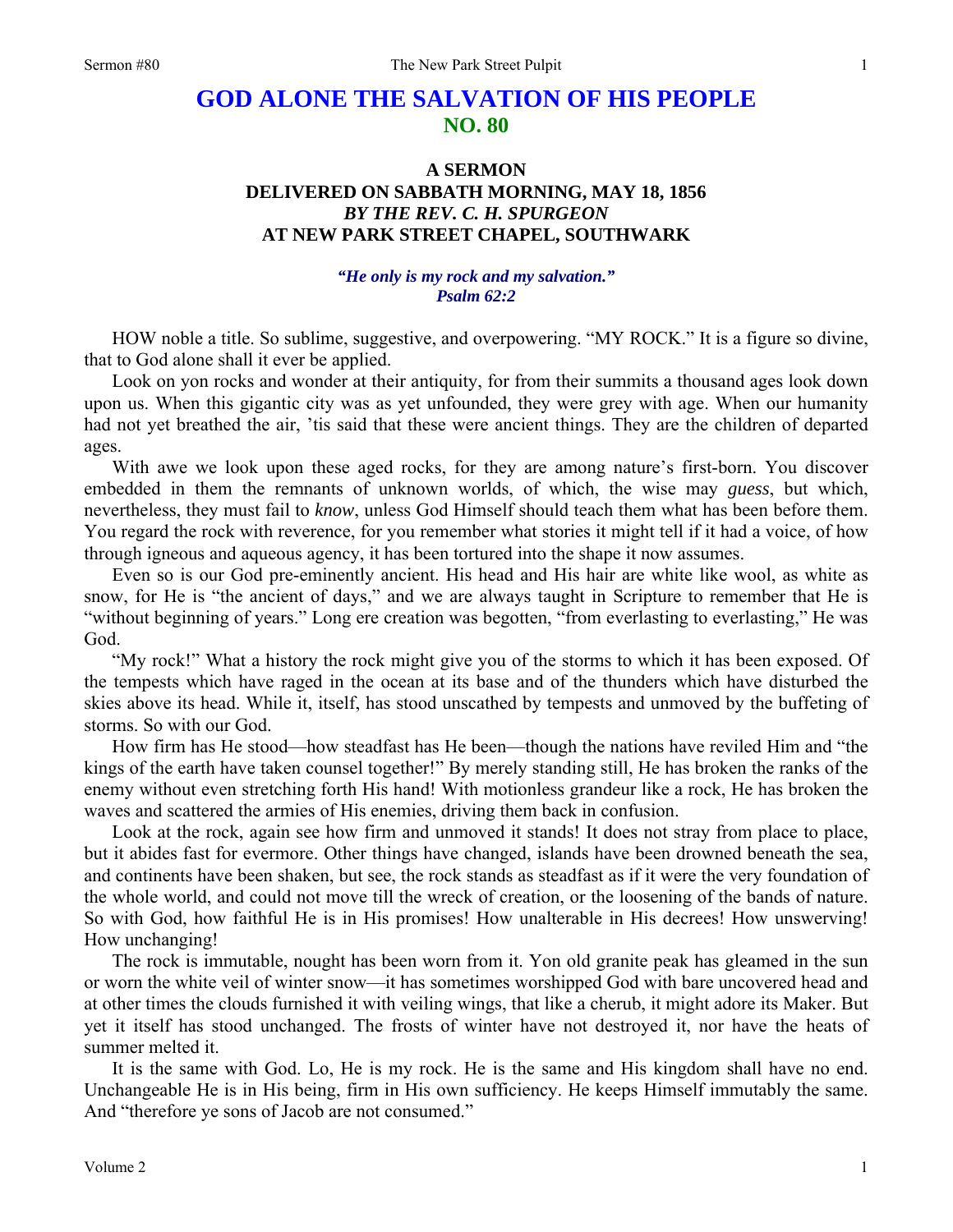## **GOD ALONE THE SALVATION OF HIS PEOPLE NO. 80**

## **A SERMON DELIVERED ON SABBATH MORNING, MAY 18, 1856**  *BY THE REV. C. H. SPURGEON*  **AT NEW PARK STREET CHAPEL, SOUTHWARK**

## *"He only is my rock and my salvation." Psalm 62:2*

HOW noble a title. So sublime, suggestive, and overpowering. "MY ROCK." It is a figure so divine, that to God alone shall it ever be applied.

Look on yon rocks and wonder at their antiquity, for from their summits a thousand ages look down upon us. When this gigantic city was as yet unfounded, they were grey with age. When our humanity had not yet breathed the air, 'tis said that these were ancient things. They are the children of departed ages.

With awe we look upon these aged rocks, for they are among nature's first-born. You discover embedded in them the remnants of unknown worlds, of which, the wise may *guess*, but which, nevertheless, they must fail to *know*, unless God Himself should teach them what has been before them. You regard the rock with reverence, for you remember what stories it might tell if it had a voice, of how through igneous and aqueous agency, it has been tortured into the shape it now assumes.

Even so is our God pre-eminently ancient. His head and His hair are white like wool, as white as snow, for He is "the ancient of days," and we are always taught in Scripture to remember that He is "without beginning of years." Long ere creation was begotten, "from everlasting to everlasting," He was God.

"My rock!" What a history the rock might give you of the storms to which it has been exposed. Of the tempests which have raged in the ocean at its base and of the thunders which have disturbed the skies above its head. While it, itself, has stood unscathed by tempests and unmoved by the buffeting of storms. So with our God.

How firm has He stood—how steadfast has He been—though the nations have reviled Him and "the kings of the earth have taken counsel together!" By merely standing still, He has broken the ranks of the enemy without even stretching forth His hand! With motionless grandeur like a rock, He has broken the waves and scattered the armies of His enemies, driving them back in confusion.

Look at the rock, again see how firm and unmoved it stands! It does not stray from place to place, but it abides fast for evermore. Other things have changed, islands have been drowned beneath the sea, and continents have been shaken, but see, the rock stands as steadfast as if it were the very foundation of the whole world, and could not move till the wreck of creation, or the loosening of the bands of nature. So with God, how faithful He is in His promises! How unalterable in His decrees! How unswerving! How unchanging!

The rock is immutable, nought has been worn from it. Yon old granite peak has gleamed in the sun or worn the white veil of winter snow—it has sometimes worshipped God with bare uncovered head and at other times the clouds furnished it with veiling wings, that like a cherub, it might adore its Maker. But yet it itself has stood unchanged. The frosts of winter have not destroyed it, nor have the heats of summer melted it.

It is the same with God. Lo, He is my rock. He is the same and His kingdom shall have no end. Unchangeable He is in His being, firm in His own sufficiency. He keeps Himself immutably the same. And "therefore ye sons of Jacob are not consumed."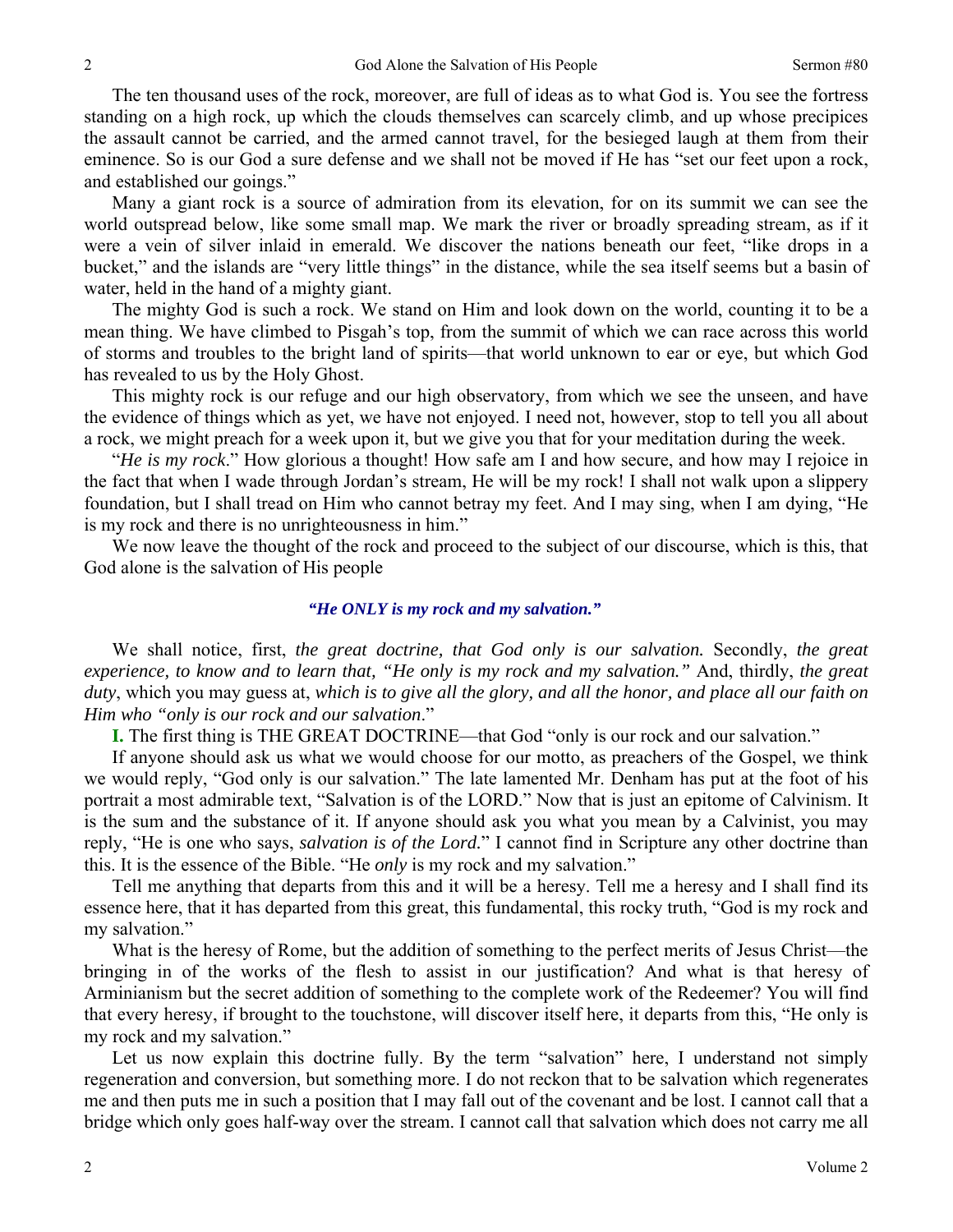The ten thousand uses of the rock, moreover, are full of ideas as to what God is. You see the fortress standing on a high rock, up which the clouds themselves can scarcely climb, and up whose precipices the assault cannot be carried, and the armed cannot travel, for the besieged laugh at them from their eminence. So is our God a sure defense and we shall not be moved if He has "set our feet upon a rock, and established our goings."

Many a giant rock is a source of admiration from its elevation, for on its summit we can see the world outspread below, like some small map. We mark the river or broadly spreading stream, as if it were a vein of silver inlaid in emerald. We discover the nations beneath our feet, "like drops in a bucket," and the islands are "very little things" in the distance, while the sea itself seems but a basin of water, held in the hand of a mighty giant.

The mighty God is such a rock. We stand on Him and look down on the world, counting it to be a mean thing. We have climbed to Pisgah's top, from the summit of which we can race across this world of storms and troubles to the bright land of spirits—that world unknown to ear or eye, but which God has revealed to us by the Holy Ghost.

This mighty rock is our refuge and our high observatory, from which we see the unseen, and have the evidence of things which as yet, we have not enjoyed. I need not, however, stop to tell you all about a rock, we might preach for a week upon it, but we give you that for your meditation during the week.

"*He is my rock*." How glorious a thought! How safe am I and how secure, and how may I rejoice in the fact that when I wade through Jordan's stream, He will be my rock! I shall not walk upon a slippery foundation, but I shall tread on Him who cannot betray my feet. And I may sing, when I am dying, "He is my rock and there is no unrighteousness in him."

We now leave the thought of the rock and proceed to the subject of our discourse, which is this, that God alone is the salvation of His people

## *"He ONLY is my rock and my salvation."*

We shall notice, first, *the great doctrine, that God only is our salvation.* Secondly, *the great experience, to know and to learn that, "He only is my rock and my salvation."* And, thirdly, *the great duty*, which you may guess at, *which is to give all the glory, and all the honor, and place all our faith on Him who "only is our rock and our salvation*."

**I.** The first thing is THE GREAT DOCTRINE—that God "only is our rock and our salvation."

If anyone should ask us what we would choose for our motto, as preachers of the Gospel, we think we would reply, "God only is our salvation." The late lamented Mr. Denham has put at the foot of his portrait a most admirable text, "Salvation is of the LORD." Now that is just an epitome of Calvinism. It is the sum and the substance of it. If anyone should ask you what you mean by a Calvinist, you may reply, "He is one who says, *salvation is of the Lord.*" I cannot find in Scripture any other doctrine than this. It is the essence of the Bible. "He *only* is my rock and my salvation."

Tell me anything that departs from this and it will be a heresy. Tell me a heresy and I shall find its essence here, that it has departed from this great, this fundamental, this rocky truth, "God is my rock and my salvation."

What is the heresy of Rome, but the addition of something to the perfect merits of Jesus Christ—the bringing in of the works of the flesh to assist in our justification? And what is that heresy of Arminianism but the secret addition of something to the complete work of the Redeemer? You will find that every heresy, if brought to the touchstone, will discover itself here, it departs from this, "He only is my rock and my salvation."

Let us now explain this doctrine fully. By the term "salvation" here, I understand not simply regeneration and conversion, but something more. I do not reckon that to be salvation which regenerates me and then puts me in such a position that I may fall out of the covenant and be lost. I cannot call that a bridge which only goes half-way over the stream. I cannot call that salvation which does not carry me all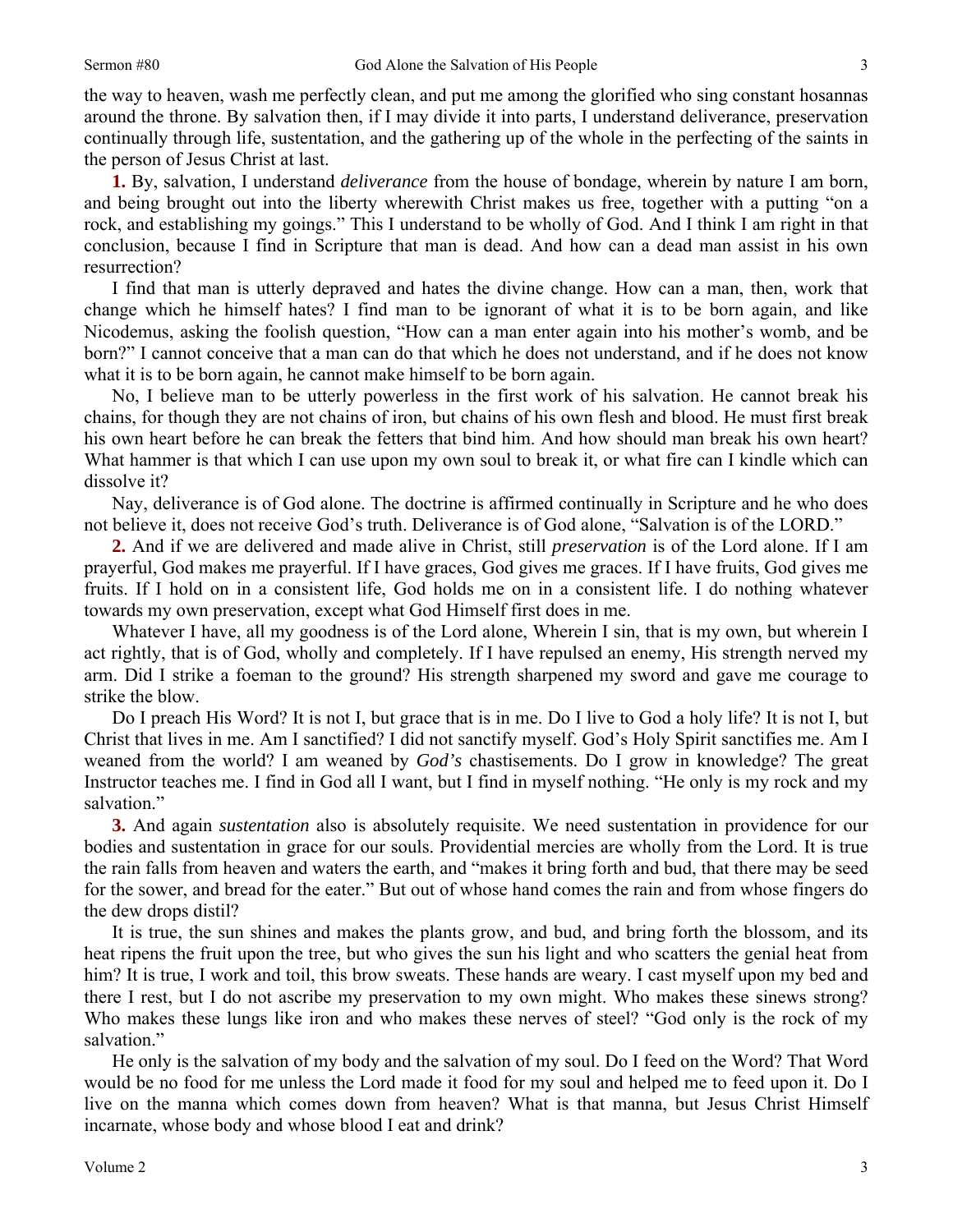the way to heaven, wash me perfectly clean, and put me among the glorified who sing constant hosannas around the throne. By salvation then, if I may divide it into parts, I understand deliverance, preservation continually through life, sustentation, and the gathering up of the whole in the perfecting of the saints in the person of Jesus Christ at last.

**1.** By, salvation, I understand *deliverance* from the house of bondage, wherein by nature I am born, and being brought out into the liberty wherewith Christ makes us free, together with a putting "on a rock, and establishing my goings." This I understand to be wholly of God. And I think I am right in that conclusion, because I find in Scripture that man is dead. And how can a dead man assist in his own resurrection?

I find that man is utterly depraved and hates the divine change. How can a man, then, work that change which he himself hates? I find man to be ignorant of what it is to be born again, and like Nicodemus, asking the foolish question, "How can a man enter again into his mother's womb, and be born?" I cannot conceive that a man can do that which he does not understand, and if he does not know what it is to be born again, he cannot make himself to be born again.

No, I believe man to be utterly powerless in the first work of his salvation. He cannot break his chains, for though they are not chains of iron, but chains of his own flesh and blood. He must first break his own heart before he can break the fetters that bind him. And how should man break his own heart? What hammer is that which I can use upon my own soul to break it, or what fire can I kindle which can dissolve it?

Nay, deliverance is of God alone. The doctrine is affirmed continually in Scripture and he who does not believe it, does not receive God's truth. Deliverance is of God alone, "Salvation is of the LORD."

**2.** And if we are delivered and made alive in Christ, still *preservation* is of the Lord alone. If I am prayerful, God makes me prayerful. If I have graces, God gives me graces. If I have fruits, God gives me fruits. If I hold on in a consistent life, God holds me on in a consistent life. I do nothing whatever towards my own preservation, except what God Himself first does in me.

Whatever I have, all my goodness is of the Lord alone, Wherein I sin, that is my own, but wherein I act rightly, that is of God, wholly and completely. If I have repulsed an enemy, His strength nerved my arm. Did I strike a foeman to the ground? His strength sharpened my sword and gave me courage to strike the blow.

Do I preach His Word? It is not I, but grace that is in me. Do I live to God a holy life? It is not I, but Christ that lives in me. Am I sanctified? I did not sanctify myself. God's Holy Spirit sanctifies me. Am I weaned from the world? I am weaned by *God's* chastisements. Do I grow in knowledge? The great Instructor teaches me. I find in God all I want, but I find in myself nothing. "He only is my rock and my salvation."

**3.** And again *sustentation* also is absolutely requisite. We need sustentation in providence for our bodies and sustentation in grace for our souls. Providential mercies are wholly from the Lord. It is true the rain falls from heaven and waters the earth, and "makes it bring forth and bud, that there may be seed for the sower, and bread for the eater." But out of whose hand comes the rain and from whose fingers do the dew drops distil?

It is true, the sun shines and makes the plants grow, and bud, and bring forth the blossom, and its heat ripens the fruit upon the tree, but who gives the sun his light and who scatters the genial heat from him? It is true, I work and toil, this brow sweats. These hands are weary. I cast myself upon my bed and there I rest, but I do not ascribe my preservation to my own might. Who makes these sinews strong? Who makes these lungs like iron and who makes these nerves of steel? "God only is the rock of my salvation."

He only is the salvation of my body and the salvation of my soul. Do I feed on the Word? That Word would be no food for me unless the Lord made it food for my soul and helped me to feed upon it. Do I live on the manna which comes down from heaven? What is that manna, but Jesus Christ Himself incarnate, whose body and whose blood I eat and drink?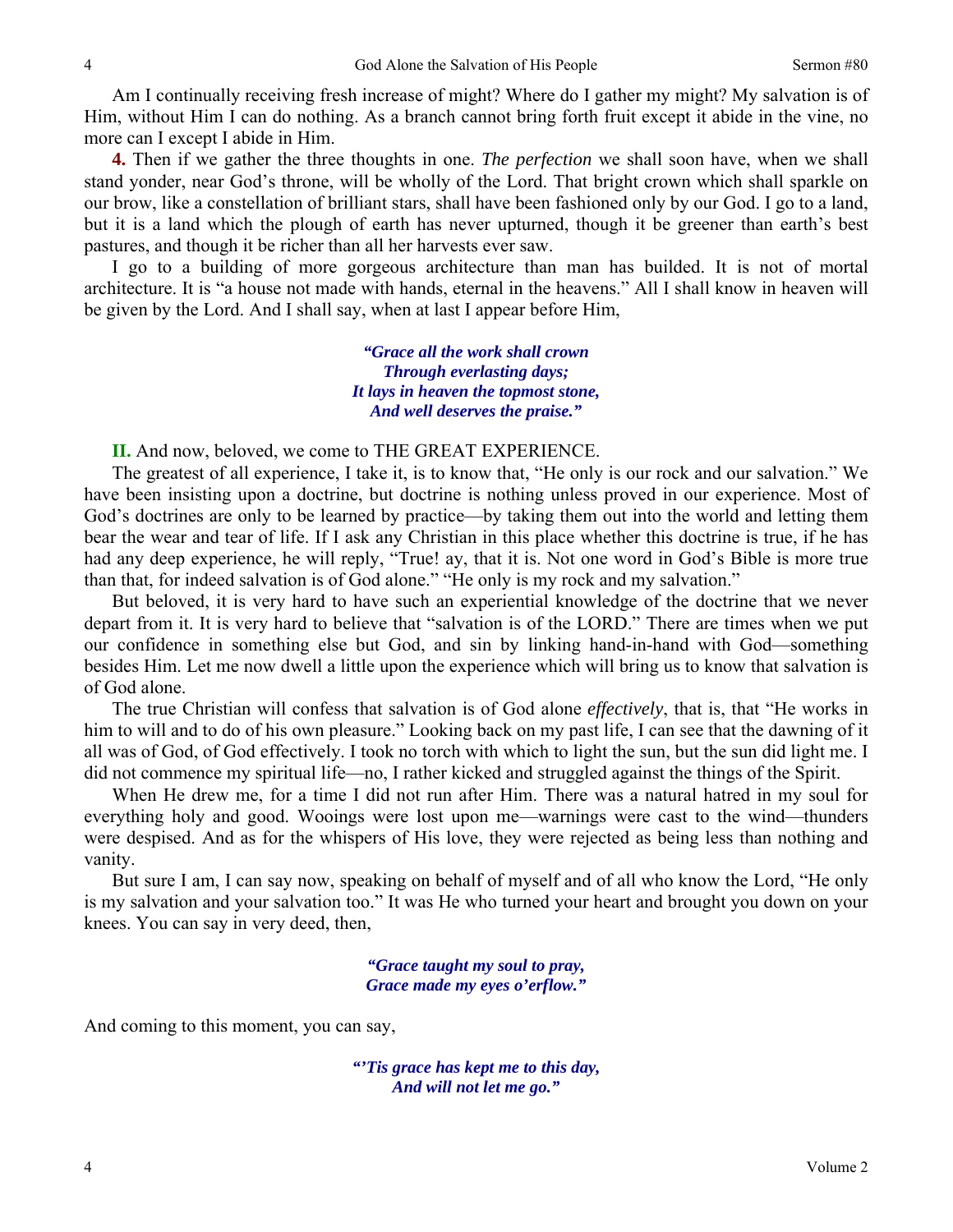Am I continually receiving fresh increase of might? Where do I gather my might? My salvation is of Him, without Him I can do nothing. As a branch cannot bring forth fruit except it abide in the vine, no more can I except I abide in Him.

**4.** Then if we gather the three thoughts in one. *The perfection* we shall soon have, when we shall stand yonder, near God's throne, will be wholly of the Lord. That bright crown which shall sparkle on our brow, like a constellation of brilliant stars, shall have been fashioned only by our God. I go to a land, but it is a land which the plough of earth has never upturned, though it be greener than earth's best pastures, and though it be richer than all her harvests ever saw.

I go to a building of more gorgeous architecture than man has builded. It is not of mortal architecture. It is "a house not made with hands, eternal in the heavens." All I shall know in heaven will be given by the Lord. And I shall say, when at last I appear before Him,

> *"Grace all the work shall crown Through everlasting days; It lays in heaven the topmost stone, And well deserves the praise."*

**II.** And now, beloved, we come to THE GREAT EXPERIENCE.

The greatest of all experience, I take it, is to know that, "He only is our rock and our salvation." We have been insisting upon a doctrine, but doctrine is nothing unless proved in our experience. Most of God's doctrines are only to be learned by practice—by taking them out into the world and letting them bear the wear and tear of life. If I ask any Christian in this place whether this doctrine is true, if he has had any deep experience, he will reply, "True! ay, that it is. Not one word in God's Bible is more true than that, for indeed salvation is of God alone." "He only is my rock and my salvation."

But beloved, it is very hard to have such an experiential knowledge of the doctrine that we never depart from it. It is very hard to believe that "salvation is of the LORD." There are times when we put our confidence in something else but God, and sin by linking hand-in-hand with God—something besides Him. Let me now dwell a little upon the experience which will bring us to know that salvation is of God alone.

The true Christian will confess that salvation is of God alone *effectively*, that is, that "He works in him to will and to do of his own pleasure." Looking back on my past life, I can see that the dawning of it all was of God, of God effectively. I took no torch with which to light the sun, but the sun did light me. I did not commence my spiritual life—no, I rather kicked and struggled against the things of the Spirit.

When He drew me, for a time I did not run after Him. There was a natural hatred in my soul for everything holy and good. Wooings were lost upon me—warnings were cast to the wind—thunders were despised. And as for the whispers of His love, they were rejected as being less than nothing and vanity.

But sure I am, I can say now, speaking on behalf of myself and of all who know the Lord, "He only is my salvation and your salvation too." It was He who turned your heart and brought you down on your knees. You can say in very deed, then,

> *"Grace taught my soul to pray, Grace made my eyes o'erflow."*

And coming to this moment, you can say,

*"'Tis grace has kept me to this day, And will not let me go."*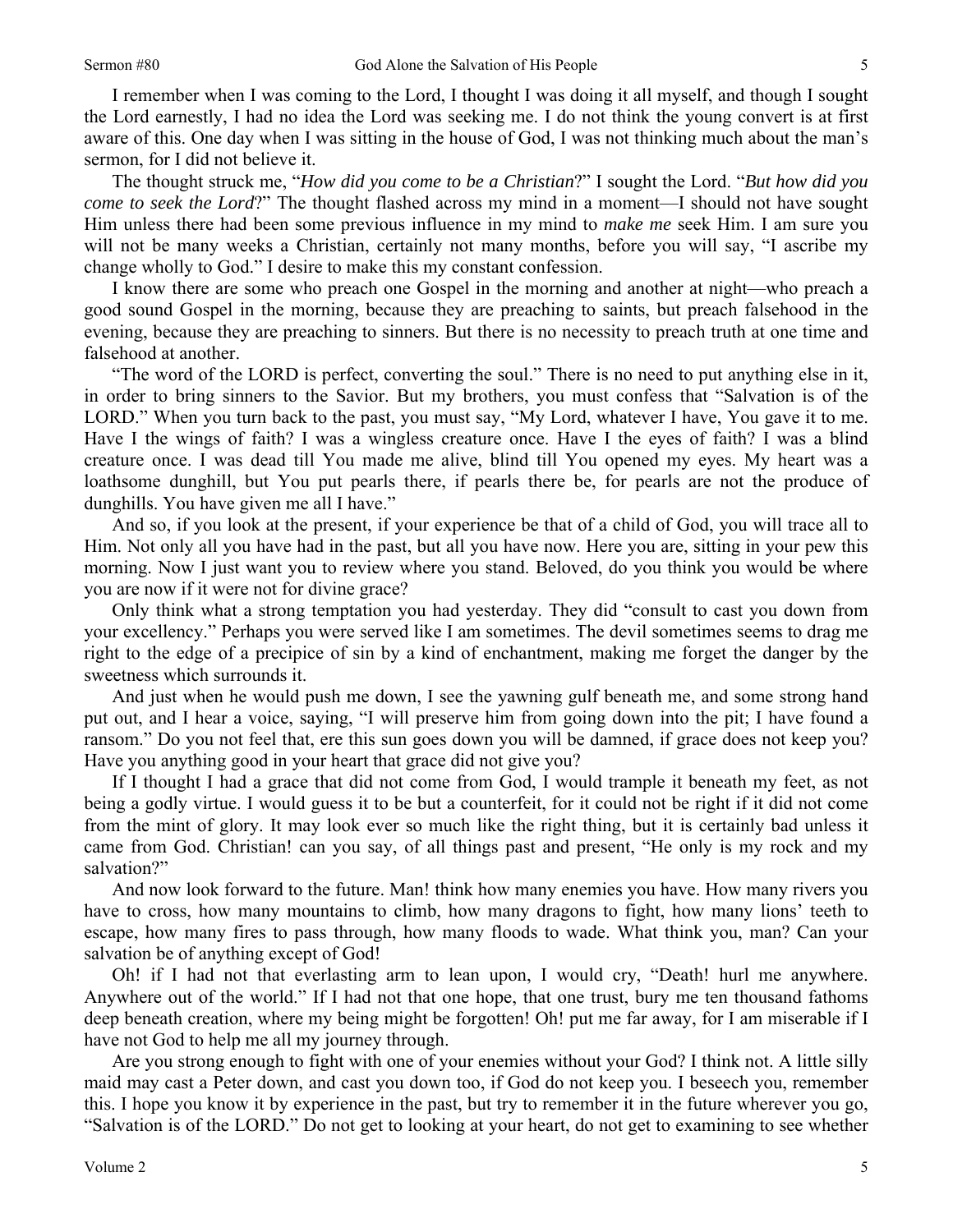I remember when I was coming to the Lord, I thought I was doing it all myself, and though I sought the Lord earnestly, I had no idea the Lord was seeking me. I do not think the young convert is at first aware of this. One day when I was sitting in the house of God, I was not thinking much about the man's sermon, for I did not believe it.

The thought struck me, "*How did you come to be a Christian*?" I sought the Lord. "*But how did you come to seek the Lord*?" The thought flashed across my mind in a moment—I should not have sought Him unless there had been some previous influence in my mind to *make me* seek Him. I am sure you will not be many weeks a Christian, certainly not many months, before you will say, "I ascribe my change wholly to God." I desire to make this my constant confession.

I know there are some who preach one Gospel in the morning and another at night—who preach a good sound Gospel in the morning, because they are preaching to saints, but preach falsehood in the evening, because they are preaching to sinners. But there is no necessity to preach truth at one time and falsehood at another.

"The word of the LORD is perfect, converting the soul." There is no need to put anything else in it, in order to bring sinners to the Savior. But my brothers, you must confess that "Salvation is of the LORD." When you turn back to the past, you must say, "My Lord, whatever I have, You gave it to me. Have I the wings of faith? I was a wingless creature once. Have I the eyes of faith? I was a blind creature once. I was dead till You made me alive, blind till You opened my eyes. My heart was a loathsome dunghill, but You put pearls there, if pearls there be, for pearls are not the produce of dunghills. You have given me all I have."

And so, if you look at the present, if your experience be that of a child of God, you will trace all to Him. Not only all you have had in the past, but all you have now. Here you are, sitting in your pew this morning. Now I just want you to review where you stand. Beloved, do you think you would be where you are now if it were not for divine grace?

Only think what a strong temptation you had yesterday. They did "consult to cast you down from your excellency." Perhaps you were served like I am sometimes. The devil sometimes seems to drag me right to the edge of a precipice of sin by a kind of enchantment, making me forget the danger by the sweetness which surrounds it.

And just when he would push me down, I see the yawning gulf beneath me, and some strong hand put out, and I hear a voice, saying, "I will preserve him from going down into the pit; I have found a ransom." Do you not feel that, ere this sun goes down you will be damned, if grace does not keep you? Have you anything good in your heart that grace did not give you?

If I thought I had a grace that did not come from God, I would trample it beneath my feet, as not being a godly virtue. I would guess it to be but a counterfeit, for it could not be right if it did not come from the mint of glory. It may look ever so much like the right thing, but it is certainly bad unless it came from God. Christian! can you say, of all things past and present, "He only is my rock and my salvation?"

And now look forward to the future. Man! think how many enemies you have. How many rivers you have to cross, how many mountains to climb, how many dragons to fight, how many lions' teeth to escape, how many fires to pass through, how many floods to wade. What think you, man? Can your salvation be of anything except of God!

Oh! if I had not that everlasting arm to lean upon, I would cry, "Death! hurl me anywhere. Anywhere out of the world." If I had not that one hope, that one trust, bury me ten thousand fathoms deep beneath creation, where my being might be forgotten! Oh! put me far away, for I am miserable if I have not God to help me all my journey through.

Are you strong enough to fight with one of your enemies without your God? I think not. A little silly maid may cast a Peter down, and cast you down too, if God do not keep you. I beseech you, remember this. I hope you know it by experience in the past, but try to remember it in the future wherever you go, "Salvation is of the LORD." Do not get to looking at your heart, do not get to examining to see whether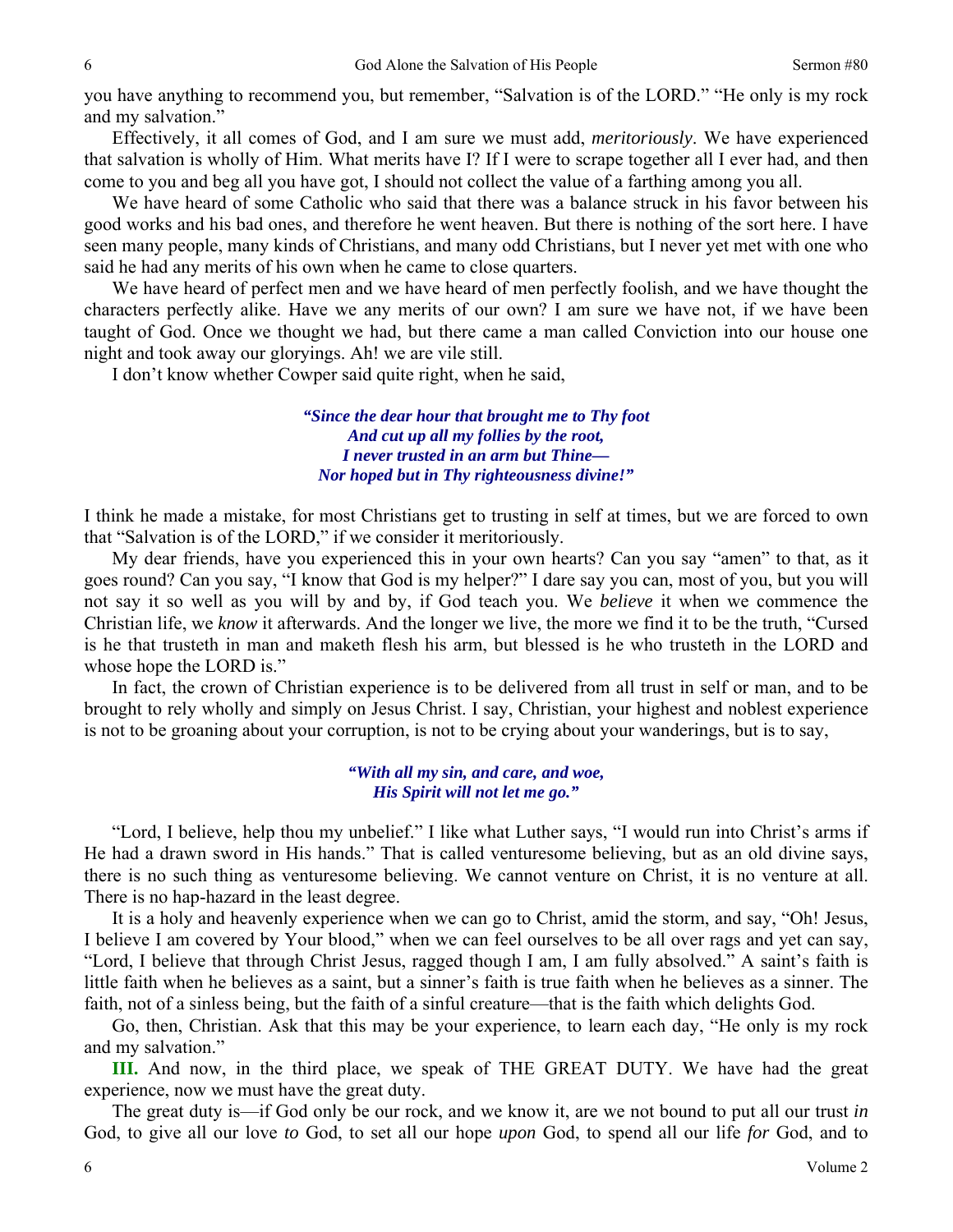you have anything to recommend you, but remember, "Salvation is of the LORD." "He only is my rock and my salvation."

Effectively, it all comes of God, and I am sure we must add, *meritoriously*. We have experienced that salvation is wholly of Him. What merits have I? If I were to scrape together all I ever had, and then come to you and beg all you have got, I should not collect the value of a farthing among you all.

We have heard of some Catholic who said that there was a balance struck in his favor between his good works and his bad ones, and therefore he went heaven. But there is nothing of the sort here. I have seen many people, many kinds of Christians, and many odd Christians, but I never yet met with one who said he had any merits of his own when he came to close quarters.

We have heard of perfect men and we have heard of men perfectly foolish, and we have thought the characters perfectly alike. Have we any merits of our own? I am sure we have not, if we have been taught of God. Once we thought we had, but there came a man called Conviction into our house one night and took away our gloryings. Ah! we are vile still.

I don't know whether Cowper said quite right, when he said,

*"Since the dear hour that brought me to Thy foot And cut up all my follies by the root, I never trusted in an arm but Thine— Nor hoped but in Thy righteousness divine!"* 

I think he made a mistake, for most Christians get to trusting in self at times, but we are forced to own that "Salvation is of the LORD," if we consider it meritoriously.

My dear friends, have you experienced this in your own hearts? Can you say "amen" to that, as it goes round? Can you say, "I know that God is my helper?" I dare say you can, most of you, but you will not say it so well as you will by and by, if God teach you. We *believe* it when we commence the Christian life, we *know* it afterwards. And the longer we live, the more we find it to be the truth, "Cursed is he that trusteth in man and maketh flesh his arm, but blessed is he who trusteth in the LORD and whose hope the LORD is."

In fact, the crown of Christian experience is to be delivered from all trust in self or man, and to be brought to rely wholly and simply on Jesus Christ. I say, Christian, your highest and noblest experience is not to be groaning about your corruption, is not to be crying about your wanderings, but is to say,

> *"With all my sin, and care, and woe, His Spirit will not let me go."*

"Lord, I believe, help thou my unbelief." I like what Luther says, "I would run into Christ's arms if He had a drawn sword in His hands." That is called venturesome believing, but as an old divine says, there is no such thing as venturesome believing. We cannot venture on Christ, it is no venture at all. There is no hap-hazard in the least degree.

It is a holy and heavenly experience when we can go to Christ, amid the storm, and say, "Oh! Jesus, I believe I am covered by Your blood," when we can feel ourselves to be all over rags and yet can say, "Lord, I believe that through Christ Jesus, ragged though I am, I am fully absolved." A saint's faith is little faith when he believes as a saint, but a sinner's faith is true faith when he believes as a sinner. The faith, not of a sinless being, but the faith of a sinful creature—that is the faith which delights God.

Go, then, Christian. Ask that this may be your experience, to learn each day, "He only is my rock and my salvation."

**III.** And now, in the third place, we speak of THE GREAT DUTY. We have had the great experience, now we must have the great duty.

The great duty is—if God only be our rock, and we know it, are we not bound to put all our trust *in* God, to give all our love *to* God, to set all our hope *upon* God, to spend all our life *for* God, and to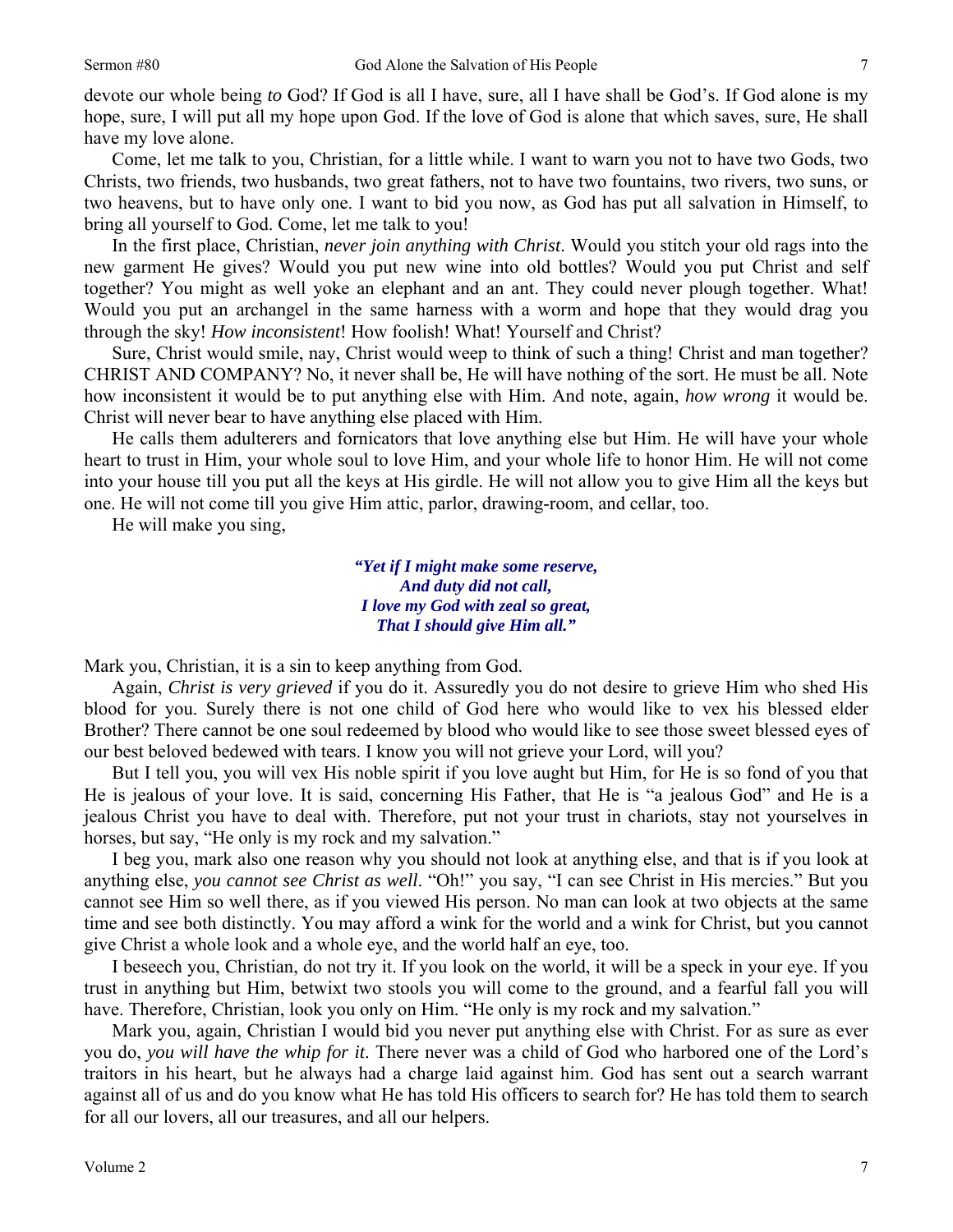devote our whole being *to* God? If God is all I have, sure, all I have shall be God's. If God alone is my hope, sure, I will put all my hope upon God. If the love of God is alone that which saves, sure, He shall have my love alone.

Come, let me talk to you, Christian, for a little while. I want to warn you not to have two Gods, two Christs, two friends, two husbands, two great fathers, not to have two fountains, two rivers, two suns, or two heavens, but to have only one. I want to bid you now, as God has put all salvation in Himself, to bring all yourself to God. Come, let me talk to you!

In the first place, Christian, *never join anything with Christ*. Would you stitch your old rags into the new garment He gives? Would you put new wine into old bottles? Would you put Christ and self together? You might as well yoke an elephant and an ant. They could never plough together. What! Would you put an archangel in the same harness with a worm and hope that they would drag you through the sky! *How inconsistent*! How foolish! What! Yourself and Christ?

Sure, Christ would smile, nay, Christ would weep to think of such a thing! Christ and man together? CHRIST AND COMPANY? No, it never shall be, He will have nothing of the sort. He must be all. Note how inconsistent it would be to put anything else with Him. And note, again, *how wrong* it would be. Christ will never bear to have anything else placed with Him.

He calls them adulterers and fornicators that love anything else but Him. He will have your whole heart to trust in Him, your whole soul to love Him, and your whole life to honor Him. He will not come into your house till you put all the keys at His girdle. He will not allow you to give Him all the keys but one. He will not come till you give Him attic, parlor, drawing-room, and cellar, too.

He will make you sing,

*"Yet if I might make some reserve, And duty did not call, I love my God with zeal so great, That I should give Him all."* 

Mark you, Christian, it is a sin to keep anything from God.

Again, *Christ is very grieved* if you do it. Assuredly you do not desire to grieve Him who shed His blood for you. Surely there is not one child of God here who would like to vex his blessed elder Brother? There cannot be one soul redeemed by blood who would like to see those sweet blessed eyes of our best beloved bedewed with tears. I know you will not grieve your Lord, will you?

But I tell you, you will vex His noble spirit if you love aught but Him, for He is so fond of you that He is jealous of your love. It is said, concerning His Father, that He is "a jealous God" and He is a jealous Christ you have to deal with. Therefore, put not your trust in chariots, stay not yourselves in horses, but say, "He only is my rock and my salvation."

I beg you, mark also one reason why you should not look at anything else, and that is if you look at anything else, *you cannot see Christ as well*. "Oh!" you say, "I can see Christ in His mercies." But you cannot see Him so well there, as if you viewed His person. No man can look at two objects at the same time and see both distinctly. You may afford a wink for the world and a wink for Christ, but you cannot give Christ a whole look and a whole eye, and the world half an eye, too.

I beseech you, Christian, do not try it. If you look on the world, it will be a speck in your eye. If you trust in anything but Him, betwixt two stools you will come to the ground, and a fearful fall you will have. Therefore, Christian, look you only on Him. "He only is my rock and my salvation."

Mark you, again, Christian I would bid you never put anything else with Christ. For as sure as ever you do, *you will have the whip for it*. There never was a child of God who harbored one of the Lord's traitors in his heart, but he always had a charge laid against him. God has sent out a search warrant against all of us and do you know what He has told His officers to search for? He has told them to search for all our lovers, all our treasures, and all our helpers.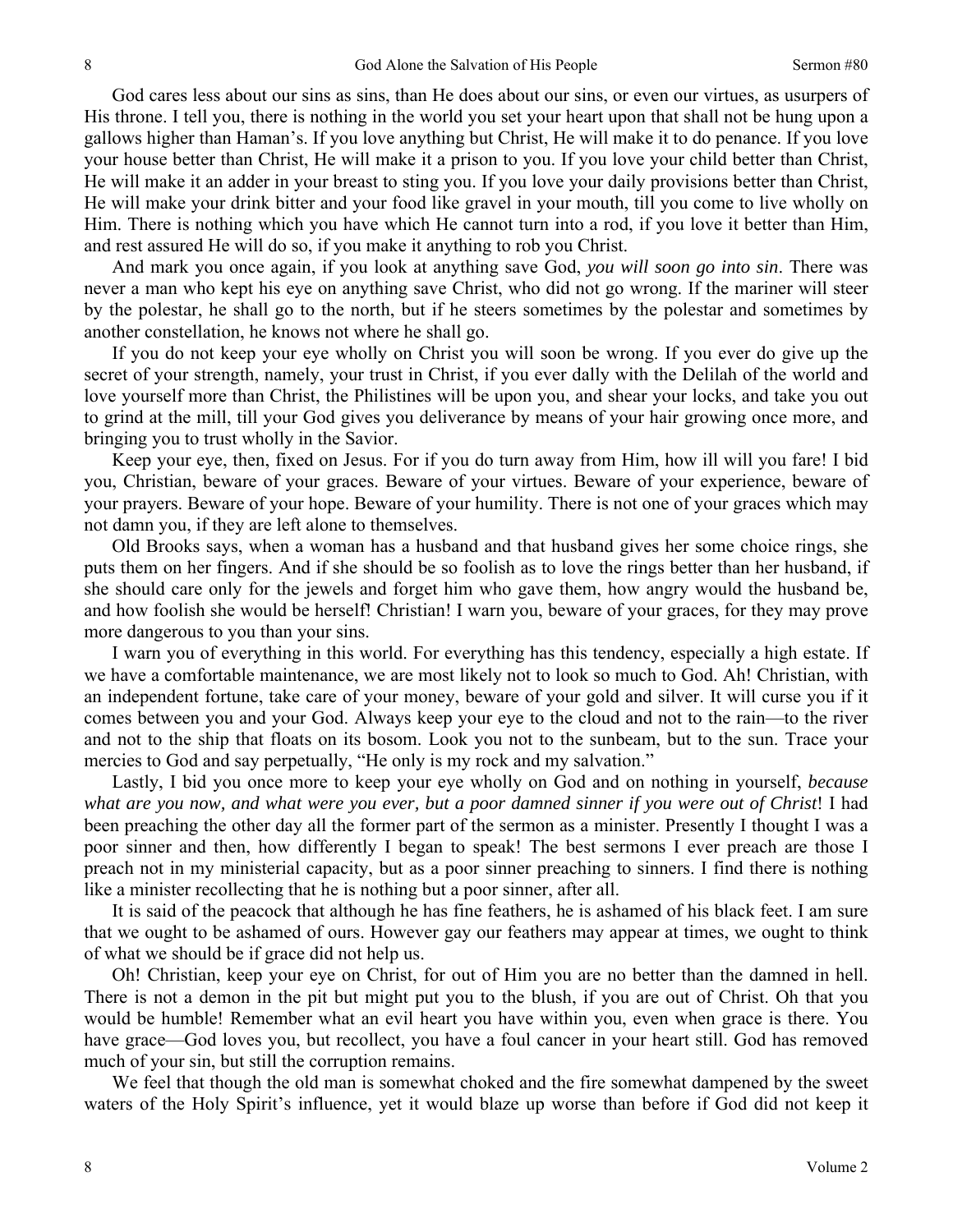God cares less about our sins as sins, than He does about our sins, or even our virtues, as usurpers of His throne. I tell you, there is nothing in the world you set your heart upon that shall not be hung upon a gallows higher than Haman's. If you love anything but Christ, He will make it to do penance. If you love your house better than Christ, He will make it a prison to you. If you love your child better than Christ, He will make it an adder in your breast to sting you. If you love your daily provisions better than Christ, He will make your drink bitter and your food like gravel in your mouth, till you come to live wholly on Him. There is nothing which you have which He cannot turn into a rod, if you love it better than Him, and rest assured He will do so, if you make it anything to rob you Christ.

And mark you once again, if you look at anything save God, *you will soon go into sin*. There was never a man who kept his eye on anything save Christ, who did not go wrong. If the mariner will steer by the polestar, he shall go to the north, but if he steers sometimes by the polestar and sometimes by another constellation, he knows not where he shall go.

If you do not keep your eye wholly on Christ you will soon be wrong. If you ever do give up the secret of your strength, namely, your trust in Christ, if you ever dally with the Delilah of the world and love yourself more than Christ, the Philistines will be upon you, and shear your locks, and take you out to grind at the mill, till your God gives you deliverance by means of your hair growing once more, and bringing you to trust wholly in the Savior.

Keep your eye, then, fixed on Jesus. For if you do turn away from Him, how ill will you fare! I bid you, Christian, beware of your graces. Beware of your virtues. Beware of your experience, beware of your prayers. Beware of your hope. Beware of your humility. There is not one of your graces which may not damn you, if they are left alone to themselves.

Old Brooks says, when a woman has a husband and that husband gives her some choice rings, she puts them on her fingers. And if she should be so foolish as to love the rings better than her husband, if she should care only for the jewels and forget him who gave them, how angry would the husband be, and how foolish she would be herself! Christian! I warn you, beware of your graces, for they may prove more dangerous to you than your sins.

I warn you of everything in this world. For everything has this tendency, especially a high estate. If we have a comfortable maintenance, we are most likely not to look so much to God. Ah! Christian, with an independent fortune, take care of your money, beware of your gold and silver. It will curse you if it comes between you and your God. Always keep your eye to the cloud and not to the rain—to the river and not to the ship that floats on its bosom. Look you not to the sunbeam, but to the sun. Trace your mercies to God and say perpetually, "He only is my rock and my salvation."

Lastly, I bid you once more to keep your eye wholly on God and on nothing in yourself, *because what are you now, and what were you ever, but a poor damned sinner if you were out of Christ*! I had been preaching the other day all the former part of the sermon as a minister. Presently I thought I was a poor sinner and then, how differently I began to speak! The best sermons I ever preach are those I preach not in my ministerial capacity, but as a poor sinner preaching to sinners. I find there is nothing like a minister recollecting that he is nothing but a poor sinner, after all.

It is said of the peacock that although he has fine feathers, he is ashamed of his black feet. I am sure that we ought to be ashamed of ours. However gay our feathers may appear at times, we ought to think of what we should be if grace did not help us.

Oh! Christian, keep your eye on Christ, for out of Him you are no better than the damned in hell. There is not a demon in the pit but might put you to the blush, if you are out of Christ. Oh that you would be humble! Remember what an evil heart you have within you, even when grace is there. You have grace—God loves you, but recollect, you have a foul cancer in your heart still. God has removed much of your sin, but still the corruption remains.

We feel that though the old man is somewhat choked and the fire somewhat dampened by the sweet waters of the Holy Spirit's influence, yet it would blaze up worse than before if God did not keep it

8